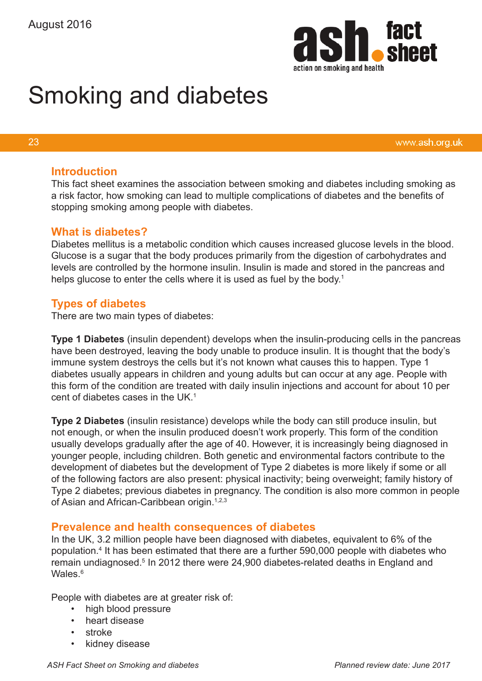

# Smoking and diabetes

#### 23

www.ash.org.uk

### **Introduction**

This fact sheet examines the association between smoking and diabetes including smoking as a risk factor, how smoking can lead to multiple complications of diabetes and the benefits of stopping smoking among people with diabetes.

## **What is diabetes?**

Diabetes mellitus is a metabolic condition which causes increased glucose levels in the blood. Glucose is a sugar that the body produces primarily from the digestion of carbohydrates and levels are controlled by the hormone insulin. Insulin is made and stored in the pancreas and helps glucose to enter the cells where it is used as fuel by the body.<sup>1</sup>

# **Types of diabetes**

There are two main types of diabetes:

**Type 1 Diabetes** (insulin dependent) develops when the insulin-producing cells in the pancreas have been destroyed, leaving the body unable to produce insulin. It is thought that the body's immune system destroys the cells but it's not known what causes this to happen. Type 1 diabetes usually appears in children and young adults but can occur at any age. People with this form of the condition are treated with daily insulin injections and account for about 10 per cent of diabetes cases in the UK $<sup>1</sup>$ </sup>

**Type 2 Diabetes** (insulin resistance) develops while the body can still produce insulin, but not enough, or when the insulin produced doesn't work properly. This form of the condition usually develops gradually after the age of 40. However, it is increasingly being diagnosed in younger people, including children. Both genetic and environmental factors contribute to the development of diabetes but the development of Type 2 diabetes is more likely if some or all of the following factors are also present: physical inactivity; being overweight; family history of Type 2 diabetes; previous diabetes in pregnancy. The condition is also more common in people of Asian and African-Caribbean origin.<sup>1,2,3</sup>

## **Prevalence and health consequences of diabetes**

In the UK, 3.2 million people have been diagnosed with diabetes, equivalent to 6% of the population.4 It has been estimated that there are a further 590,000 people with diabetes who remain undiagnosed.<sup>5</sup> In 2012 there were 24,900 diabetes-related deaths in England and Wales.<sup>6</sup>

People with diabetes are at greater risk of:

- high blood pressure
- heart disease
- stroke
- kidney disease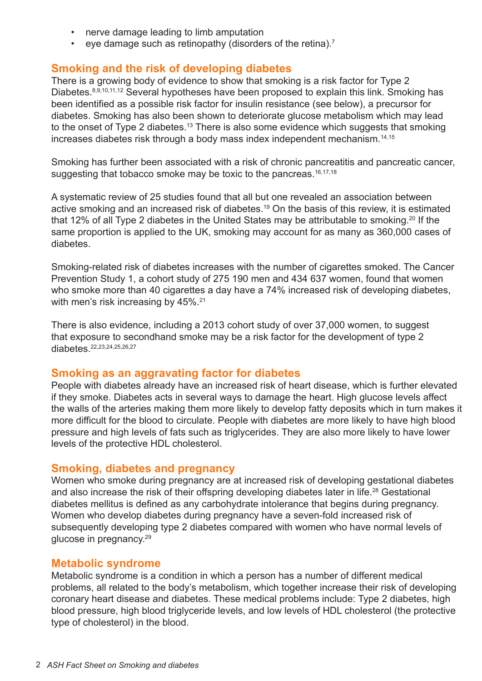- nerve damage leading to limb amputation
- eye damage such as retinopathy (disorders of the retina).7

## **Smoking and the risk of developing diabetes**

There is a growing body of evidence to show that smoking is a risk factor for Type 2 Diabetes.<sup>8,9,10,11,12</sup> Several hypotheses have been proposed to explain this link. Smoking has been identified as a possible risk factor for insulin resistance (see below), a precursor for diabetes. Smoking has also been shown to deteriorate glucose metabolism which may lead to the onset of Type 2 diabetes.<sup>13</sup> There is also some evidence which suggests that smoking increases diabetes risk through a body mass index independent mechanism.<sup>14,15</sup>

Smoking has further been associated with a risk of chronic pancreatitis and pancreatic cancer, suggesting that tobacco smoke may be toxic to the pancreas.<sup>16,17,18</sup>

A systematic review of 25 studies found that all but one revealed an association between active smoking and an increased risk of diabetes.<sup>19</sup> On the basis of this review, it is estimated that 12% of all Type 2 diabetes in the United States may be attributable to smoking.<sup>20</sup> If the same proportion is applied to the UK, smoking may account for as many as 360,000 cases of diabetes.

Smoking-related risk of diabetes increases with the number of cigarettes smoked. The Cancer Prevention Study 1, a cohort study of 275 190 men and 434 637 women, found that women who smoke more than 40 cigarettes a day have a 74% increased risk of developing diabetes, with men's risk increasing by 45%.<sup>21</sup>

There is also evidence, including a 2013 cohort study of over 37,000 women, to suggest that exposure to secondhand smoke may be a risk factor for the development of type 2 diabetes<sup>22,23,24,25,26,27</sup>

#### **Smoking as an aggravating factor for diabetes**

People with diabetes already have an increased risk of heart disease, which is further elevated if they smoke. Diabetes acts in several ways to damage the heart. High glucose levels affect the walls of the arteries making them more likely to develop fatty deposits which in turn makes it more difficult for the blood to circulate. People with diabetes are more likely to have high blood pressure and high levels of fats such as triglycerides. They are also more likely to have lower levels of the protective HDL cholesterol.

#### **Smoking, diabetes and pregnancy**

Women who smoke during pregnancy are at increased risk of developing gestational diabetes and also increase the risk of their offspring developing diabetes later in life.<sup>28</sup> Gestational diabetes mellitus is defined as any carbohydrate intolerance that begins during pregnancy. Women who develop diabetes during pregnancy have a seven-fold increased risk of subsequently developing type 2 diabetes compared with women who have normal levels of glucose in pregnancy.29

## **Metabolic syndrome**

Metabolic syndrome is a condition in which a person has a number of different medical problems, all related to the body's metabolism, which together increase their risk of developing coronary heart disease and diabetes. These medical problems include: Type 2 diabetes, high blood pressure, high blood triglyceride levels, and low levels of HDL cholesterol (the protective type of cholesterol) in the blood.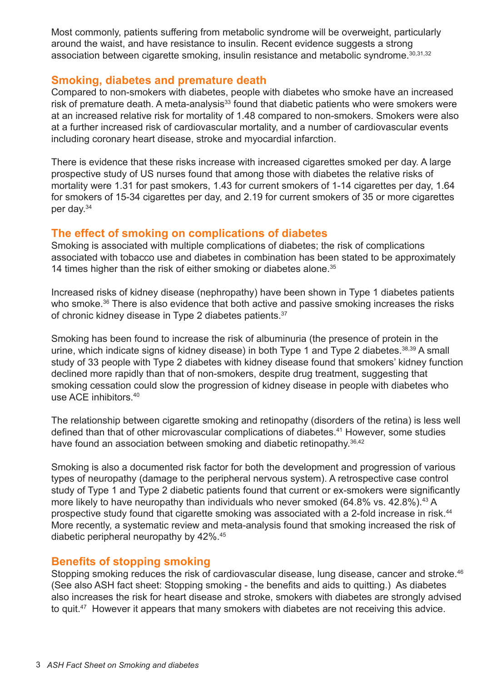Most commonly, patients suffering from metabolic syndrome will be overweight, particularly around the waist, and have resistance to insulin. Recent evidence suggests a strong association between cigarette smoking, insulin resistance and metabolic syndrome.<sup>30,31,32</sup>

# **Smoking, diabetes and premature death**

Compared to non-smokers with diabetes, people with diabetes who smoke have an increased risk of premature death. A meta-analysis<sup>33</sup> found that diabetic patients who were smokers were at an increased relative risk for mortality of 1.48 compared to non-smokers. Smokers were also at a further increased risk of cardiovascular mortality, and a number of cardiovascular events including coronary heart disease, stroke and myocardial infarction.

There is evidence that these risks increase with increased cigarettes smoked per day. A large prospective study of US nurses found that among those with diabetes the relative risks of mortality were 1.31 for past smokers, 1.43 for current smokers of 1-14 cigarettes per day, 1.64 for smokers of 15-34 cigarettes per day, and 2.19 for current smokers of 35 or more cigarettes per day.34

# **The effect of smoking on complications of diabetes**

Smoking is associated with multiple complications of diabetes; the risk of complications associated with tobacco use and diabetes in combination has been stated to be approximately 14 times higher than the risk of either smoking or diabetes alone.<sup>35</sup>

Increased risks of kidney disease (nephropathy) have been shown in Type 1 diabetes patients who smoke.<sup>36</sup> There is also evidence that both active and passive smoking increases the risks of chronic kidney disease in Type 2 diabetes patients.<sup>37</sup>

Smoking has been found to increase the risk of albuminuria (the presence of protein in the urine, which indicate signs of kidney disease) in both Type 1 and Type 2 diabetes.<sup>38,39</sup> A small study of 33 people with Type 2 diabetes with kidney disease found that smokers' kidney function declined more rapidly than that of non-smokers, despite drug treatment, suggesting that smoking cessation could slow the progression of kidney disease in people with diabetes who use ACE inhibitors.40

The relationship between cigarette smoking and retinopathy (disorders of the retina) is less well defined than that of other microvascular complications of diabetes.<sup>41</sup> However, some studies have found an association between smoking and diabetic retinopathy.<sup>36,42</sup>

Smoking is also a documented risk factor for both the development and progression of various types of neuropathy (damage to the peripheral nervous system). A retrospective case control study of Type 1 and Type 2 diabetic patients found that current or ex-smokers were significantly more likely to have neuropathy than individuals who never smoked  $(64.8\%$  vs.  $42.8\%)$ .<sup>43</sup> A prospective study found that cigarette smoking was associated with a 2-fold increase in risk.<sup>44</sup> More recently, a systematic review and meta-analysis found that smoking increased the risk of diabetic peripheral neuropathy by 42%.45

# **Benefits of stopping smoking**

Stopping smoking reduces the risk of cardiovascular disease, lung disease, cancer and stroke.<sup>46</sup> (See also ASH fact sheet: Stopping smoking - the benefits and aids to quitting.) As diabetes also increases the risk for heart disease and stroke, smokers with diabetes are strongly advised to quit.<sup>47</sup> However it appears that many smokers with diabetes are not receiving this advice.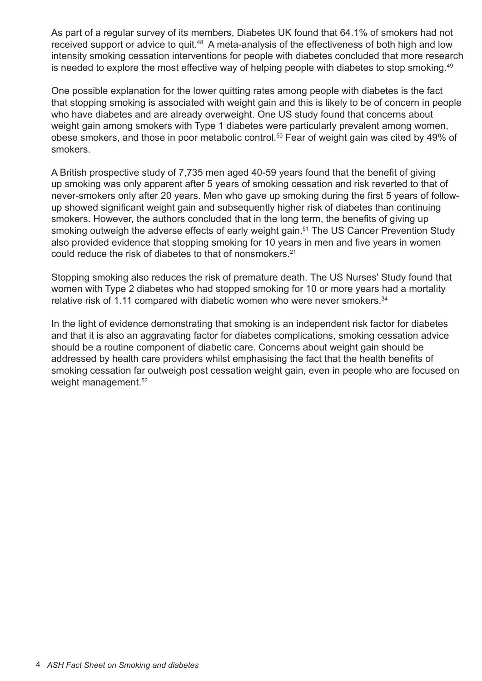As part of a regular survey of its members, Diabetes UK found that 64.1% of smokers had not received support or advice to quit.<sup>48</sup> A meta-analysis of the effectiveness of both high and low intensity smoking cessation interventions for people with diabetes concluded that more research is needed to explore the most effective way of helping people with diabetes to stop smoking.<sup>49</sup>

One possible explanation for the lower quitting rates among people with diabetes is the fact that stopping smoking is associated with weight gain and this is likely to be of concern in people who have diabetes and are already overweight. One US study found that concerns about weight gain among smokers with Type 1 diabetes were particularly prevalent among women, obese smokers, and those in poor metabolic control.<sup>50</sup> Fear of weight gain was cited by 49% of smokers.

A British prospective study of 7,735 men aged 40-59 years found that the benefit of giving up smoking was only apparent after 5 years of smoking cessation and risk reverted to that of never-smokers only after 20 years. Men who gave up smoking during the first 5 years of followup showed significant weight gain and subsequently higher risk of diabetes than continuing smokers. However, the authors concluded that in the long term, the benefits of giving up smoking outweigh the adverse effects of early weight gain.<sup>51</sup> The US Cancer Prevention Study also provided evidence that stopping smoking for 10 years in men and five years in women could reduce the risk of diabetes to that of nonsmokers.<sup>21</sup>

Stopping smoking also reduces the risk of premature death. The US Nurses' Study found that women with Type 2 diabetes who had stopped smoking for 10 or more years had a mortality relative risk of 1.11 compared with diabetic women who were never smokers.<sup>34</sup>

In the light of evidence demonstrating that smoking is an independent risk factor for diabetes and that it is also an aggravating factor for diabetes complications, smoking cessation advice should be a routine component of diabetic care. Concerns about weight gain should be addressed by health care providers whilst emphasising the fact that the health benefits of smoking cessation far outweigh post cessation weight gain, even in people who are focused on weight management.<sup>52</sup>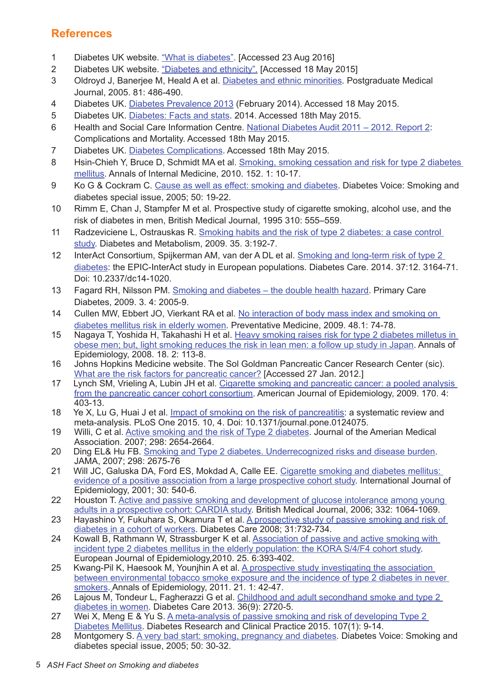# **References**

- 1 Diabetes UK website. ["What is diabetes".](https://www.diabetes.org.uk/Guide-to-diabetes/What-is-diabetes/) [Accessed 23 Aug 2016]
- 2 Diabetes UK website. ["Diabetes and ethnicity"](http://www.diabetes.co.uk/diabetes-and-ethnicity.html). [Accessed 18 May 2015]
- 3 Oldroyd J, Banerjee M, Heald A et al. [Diabetes and ethnic minorities](http://pmj.bmj.com/content/81/958/486.full). Postgraduate Medical Journal, 2005. 81: 486-490.
- 4 Diabetes UK. [Diabetes Prevalence 2013](https://www.diabetes.org.uk/About_us/What-we-say/Statistics/Diabetes-prevalence-2013/) (February 2014). Accessed 18 May 2015.
- 5 Diabetes UK. [Diabetes: Facts and stats.](https://www.diabetes.org.uk/Documents/About Us/Statistics/Diabetes-key-stats-guidelines-April2014.pdf) 2014. Accessed 18th May 2015.
- 6 Health and Social Care Information Centre. [National Diabetes Audit 2011 2012. Report 2](http://www.hscic.gov.uk/catalogue/PUB12738/nati-diab-audi-11-12-mort-comp-rep.pdf): Complications and Mortality. Accessed 18th May 2015.
- 7 Diabetes UK. [Diabetes Complications](https://www.diabetes.org.uk/guide-to-diabetes/complications/). Accessed 18th May 2015.
- 8 Hsin-Chieh Y, Bruce D, Schmidt MA et al. Smoking, smoking cessation and risk for type 2 diabetes [mellitus.](https://www.acponline.org/acp_news/misc/smoking.pdf ) Annals of Internal Medicine, 2010. 152. 1: 10-17.
- 9 Ko G & Cockram C. [Cause as well as effect: smoking and diabetes.](http://www.idf.org/sites/default/files/attachments/article_333_en.pdf) Diabetes Voice: Smoking and diabetes special issue, 2005; 50: 19-22.
- 10 Rimm E, Chan J, Stampfer M et al. [Prospective study of cigarette smoking, alcohol use, and the](http://www.ncbi.nlm.nih.gov/pubmed/7888928)  [risk of diabetes in men,](http://www.ncbi.nlm.nih.gov/pubmed/7888928) British Medical Journal, 1995 310: 555–559.
- 11 Radzeviciene L, Ostrauskas R. Smoking habits and the risk of type 2 diabetes: a case control [study.](http://www.ncbi.nlm.nih.gov/pubmed/19269874) Diabetes and Metabolism, 2009. 35. 3:192-7.
- 12 InterAct Consortium, Spijkerman AM, van der A DL et al. [Smoking and long-term risk of type 2](http://www.ncbi.nlm.nih.gov/pubmed/25336749)  [diabetes: the EPIC-InterAct study in European populations.](http://www.ncbi.nlm.nih.gov/pubmed/25336749) Diabetes Care. 2014. 37:12. 3164-71. Doi: 10.2337/dc14-1020.
- 13 Fagard RH, Nilsson PM. [Smoking and diabetes the double health hazard](http://www.ncbi.nlm.nih.gov/pubmed/19875348). Primary Care Diabetes, 2009. 3. 4: 2005-9.
- 14 Cullen MW, Ebbert JO, Vierkant RA et al. No interaction of body mass index and smoking on [diabetes mellitus risk in elderly women](http://www.ncbi.nlm.nih.gov/pmc/articles/PMC2664829/). Preventative Medicine, 2009. 48.1: 74-78.
- 15 Nagaya T, Yoshida H, Takahashi H et al. [Heavy smoking raises risk for type 2 diabetes milletus in](http://www.ncbi.nlm.nih.gov/pubmed/18083537)  [obese men; but, light smoking reduces the risk in lean men: a follow up study in Japan](http://www.ncbi.nlm.nih.gov/pubmed/18083537). Annals of Epidemiology, 2008. 18. 2: 113-8.
- 16 Johns Hopkins Medicine website. The Sol Goldman Pancreatic Cancer Research Center (sic). [What are the risk factors for pancreatic cancer?](http://pathology.jhu.edu/pc/BasicRisk.php) [Accessed 27 Jan. 2012.]
- 17 Lynch SM, Vrieling A, Lubin JH et al. Cigarette smoking and pancreatic cancer: a pooled analysis [from the pancreatic cancer cohort consortium](http://www.ncbi.nlm.nih.gov/pubmed/19561064). American Journal of Epidemiology, 2009. 170. 4: 403-13.
- 18 Ye X, Lu G, Huai J et al. [Impact of smoking on the risk of pancreatitis](http://www.ncbi.nlm.nih.gov/pubmed/25879541): a systematic review and meta-analysis. PLoS One 2015. 10, 4. Doi: 10.1371/journal.pone.0124075.
- 19 Willi, C et al. [Active smoking and the risk of Type 2 diabetes.](http://www.ncbi.nlm.nih.gov/pubmed/18073361) Journal of the Amerian Medical Association. 2007; 298: 2654-2664.
- 20 Ding EL& Hu FB. [Smoking and Type 2 diabetes. Underrecognized risks and disease burden.](http://jama.jamanetwork.com/article.aspx?articleid=209699) JAMA, 2007; 298: 2675-76
- 21 Will JC, Galuska DA, Ford ES, Mokdad A, Calle EE. Cigarette smoking and diabetes mellitus: [evidence of a positive association from a large prospective cohort study.](http://ije.oxfordjournals.org/content/30/3/540.full.pdf) International Journal of Epidemiology, 2001; 30: 540-6.
- 22 Houston T. Active and passive smoking and development of glucose intolerance among young [adults in a prospective cohort: CARDIA study](http://www.bmj.com/content/332/7549/1064). British Medical Journal, 2006; 332: 1064-1069.
- 23 Hayashino Y, Fukuhara S, Okamura T et al. [A prospective study of passive smoking and risk of](http://care.diabetesjournals.org/content/31/4/732.abstract)  [diabetes in a cohort of workers.](http://care.diabetesjournals.org/content/31/4/732.abstract) Diabetes Care 2008; 31:732-734.
- 24 Kowall B, Rathmann W, Strassburger K et al. Association of passive and active smoking with [incident type 2 diabetes mellitus in the elderly population: the KORA S/4/F4 cohort study.](http://link.springer.com/article/10.1007%2Fs10654-010-9452-6)  European Journal of Epidemiology,2010. 25. 6:393-402.
- 25 Kwang-Pil K, Haesook M, Younjhin A et al. A prospective study investigating the association [between environmental tobacco smoke exposure and the incidence of type 2 diabetes in never](http://www.annalsofepidemiology.org/article/S1047-2797(10)00360-1/abstract)  [smokers.](http://www.annalsofepidemiology.org/article/S1047-2797(10)00360-1/abstract) Annals of Epidemiology, 2011. 21. 1: 42-47.
- 26 Lajous M, Tondeur L, Fagherazzi G et al. Childhood and adult secondhand smoke and type 2 [diabetes in women](http://www.ncbi.nlm.nih.gov/pubmed?term=(diabetes%5BTitle%5D)%20AND%20secondhand%20smoke%5BTitle%5D). Diabetes Care 2013. 36(9): 2720-5.
- 27 Wei X, Meng E & Yu S. A meta-analysis of passive smoking and risk of developing Type 2 [Diabetes Mellitus](http://www.diabetesresearchclinicalpractice.com/article/S0168-8227(14)00419-7/abstract ). Diabetes Research and Clinical Practice 2015. 107(1): 9-14.
- 28 Montgomery S. [A very bad start: smoking, pregnancy and diabetes.](http://www.idf.org/diabetesvoice/articles/a-very-bad-start-smoking-pregnancy-and-diabetes) Diabetes Voice: Smoking and diabetes special issue, 2005; 50: 30-32.